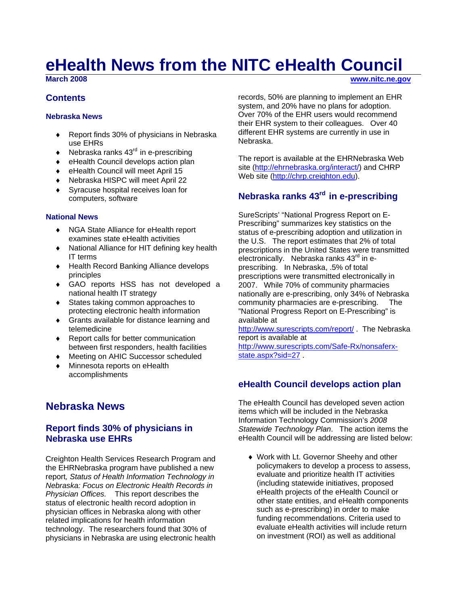# **eHealth News from the NITC eHealth Council**

**March 2008 [www.nitc.ne.gov](http://www.nitc.ne.gov/)**

### **Contents**

#### **Nebraska News**

- ♦ Report finds 30% of physicians in Nebraska use EHRs
- $\bullet$  Nebraska ranks 43<sup>rd</sup> in e-prescribing
- ♦ eHealth Council develops action plan
- ♦ eHealth Council will meet April 15
- ♦ Nebraska HISPC will meet April 22
- ♦ Syracuse hospital receives loan for computers, software

#### **National News**

- ♦ NGA State Alliance for eHealth report examines state eHealth activities
- ♦ National Alliance for HIT defining key health IT terms
- ♦ Health Record Banking Alliance develops principles
- ♦ GAO reports HSS has not developed a national health IT strategy
- ♦ States taking common approaches to protecting electronic health information
- ♦ Grants available for distance learning and telemedicine
- ♦ Report calls for better communication between first responders, health facilities
- ♦ Meeting on AHIC Successor scheduled
- Minnesota reports on eHealth accomplishments

# **Nebraska News**

### **Report finds 30% of physicians in Nebraska use EHRs**

Creighton Health Services Research Program and the EHRNebraska program have published a new report*, Status of Health Information Technology in Nebraska: Focus on Electronic Health Records in Physician Offices.* This report describes the status of electronic health record adoption in physician offices in Nebraska along with other related implications for health information technology. The researchers found that 30% of physicians in Nebraska are using electronic health

records, 50% are planning to implement an EHR system, and 20% have no plans for adoption. Over 70% of the EHR users would recommend their EHR system to their colleagues. Over 40 different EHR systems are currently in use in Nebraska.

The report is available at the EHRNebraska Web site ([http://ehrnebraska.org/interact/\)](http://ehrnebraska.org/interact/) and CHRP Web site [\(http://chrp.creighton.edu\)](http://chrp.creighton.edu/).

# **Nebraska ranks 43rd in e-prescribing**

SureScripts' "National Progress Report on E-Prescribing" summarizes key statistics on the status of e-prescribing adoption and utilization in the U.S. The report estimates that 2% of total prescriptions in the United States were transmitted electronically. Nebraska ranks 43<sup>rd</sup> in eprescribing. In Nebraska, .5% of total prescriptions were transmitted electronically in 2007. While 70% of community pharmacies nationally are e-prescribing, only 34% of Nebraska community pharmacies are e-prescribing. The "National Progress Report on E-Prescribing" is available at

<http://www.surescripts.com/report/> . The Nebraska report is available at

[http://www.surescripts.com/Safe-Rx/nonsaferx](http://www.surescripts.com/Safe-Rx/nonsaferx-state.aspx?sid=27)state.aspx?sid=27

### **eHealth Council develops action plan**

The eHealth Council has developed seven action items which will be included in the Nebraska Information Technology Commission's *2008 Statewide Technology Plan*. The action items the eHealth Council will be addressing are listed below:

♦ Work with Lt. Governor Sheehy and other policymakers to develop a process to assess, evaluate and prioritize health IT activities (including statewide initiatives, proposed eHealth projects of the eHealth Council or other state entities, and eHealth components such as e-prescribing) in order to make funding recommendations. Criteria used to evaluate eHealth activities will include return on investment (ROI) as well as additional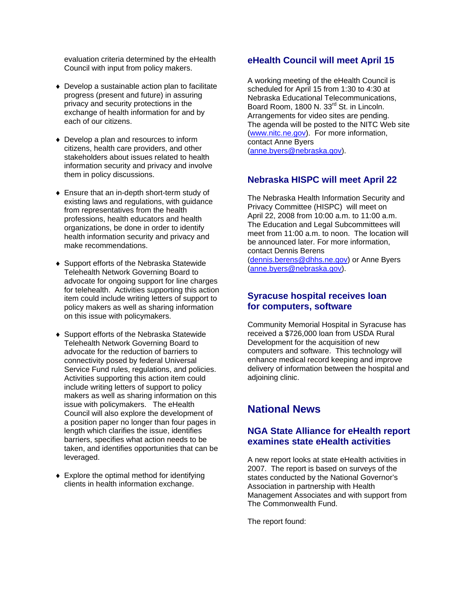evaluation criteria determined by the eHealth Council with input from policy makers.

- ♦ Develop a sustainable action plan to facilitate progress (present and future) in assuring privacy and security protections in the exchange of health information for and by each of our citizens.
- ♦ Develop a plan and resources to inform citizens, health care providers, and other stakeholders about issues related to health information security and privacy and involve them in policy discussions.
- ♦ Ensure that an in-depth short-term study of existing laws and regulations, with guidance from representatives from the health professions, health educators and health organizations, be done in order to identify health information security and privacy and make recommendations.
- ♦ Support efforts of the Nebraska Statewide Telehealth Network Governing Board to advocate for ongoing support for line charges for telehealth. Activities supporting this action item could include writing letters of support to policy makers as well as sharing information on this issue with policymakers.
- ♦ Support efforts of the Nebraska Statewide Telehealth Network Governing Board to advocate for the reduction of barriers to connectivity posed by federal Universal Service Fund rules, regulations, and policies. Activities supporting this action item could include writing letters of support to policy makers as well as sharing information on this issue with policymakers. The eHealth Council will also explore the development of a position paper no longer than four pages in length which clarifies the issue, identifies barriers, specifies what action needs to be taken, and identifies opportunities that can be leveraged.
- $\triangle$  Explore the optimal method for identifying clients in health information exchange.

### **eHealth Council will meet April 15**

A working meeting of the eHealth Council is scheduled for April 15 from 1:30 to 4:30 at Nebraska Educational Telecommunications, Board Room, 1800 N, 33<sup>rd</sup> St. in Lincoln. Arrangements for video sites are pending. The agenda will be posted to the NITC Web site [\(www.nitc.ne.gov](http://www.nitc.ne.gov/)). For more information, contact Anne Byers [\(anne.byers@nebraska.gov](mailto:anne.byers@nebraska.gov)).

### **Nebraska HISPC will meet April 22**

The Nebraska Health Information Security and Privacy Committee (HISPC) will meet on April 22, 2008 from 10:00 a.m. to 11:00 a.m. The Education and Legal Subcommittees will meet from 11:00 a.m. to noon. The location will be announced later. For more information, contact Dennis Berens

[\(dennis.berens@dhhs.ne.gov\)](mailto:dennis.berens@dhhs.ne.gov) or Anne Byers [\(anne.byers@nebraska.gov](mailto:anne.byers@nebraska.gov)).

### **Syracuse hospital receives loan for computers, software**

Community Memorial Hospital in Syracuse has received a \$726,000 loan from USDA Rural Development for the acquisition of new computers and software. This technology will enhance medical record keeping and improve delivery of information between the hospital and adjoining clinic.

## **National News**

### **NGA State Alliance for eHealth report examines state eHealth activities**

A new report looks at state eHealth activities in 2007. The report is based on surveys of the states conducted by the National Governor's Association in partnership with Health Management Associates and with support from The Commonwealth Fund.

The report found: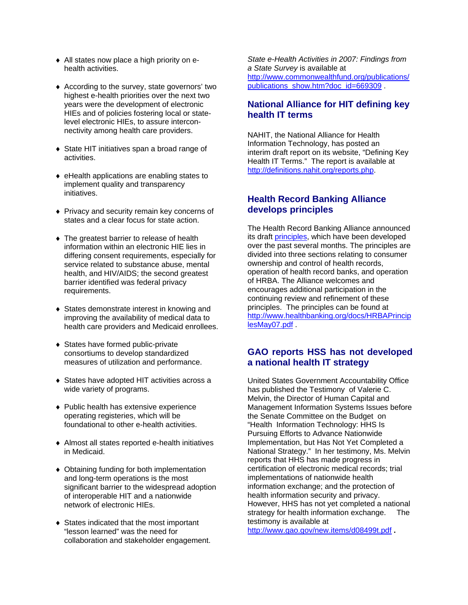- ♦ All states now place a high priority on ehealth activities.
- ♦ According to the survey, state governors' two highest e-health priorities over the next two years were the development of electronic HIEs and of policies fostering local or statelevel electronic HIEs, to assure interconnectivity among health care providers.
- ♦ State HIT initiatives span a broad range of activities.
- ♦ eHealth applications are enabling states to implement quality and transparency initiatives.
- ♦ Privacy and security remain key concerns of states and a clear focus for state action.
- ♦ The greatest barrier to release of health information within an electronic HIE lies in differing consent requirements, especially for service related to substance abuse, mental health, and HIV/AIDS; the second greatest barrier identified was federal privacy requirements.
- ♦ States demonstrate interest in knowing and improving the availability of medical data to health care providers and Medicaid enrollees.
- ♦ States have formed public-private consortiums to develop standardized measures of utilization and performance.
- ♦ States have adopted HIT activities across a wide variety of programs.
- ♦ Public health has extensive experience operating registeries, which will be foundational to other e-health activities.
- ♦ Almost all states reported e-health initiatives in Medicaid.
- ♦ Obtaining funding for both implementation and long-term operations is the most significant barrier to the widespread adoption of interoperable HIT and a nationwide network of electronic HIEs.
- ♦ States indicated that the most important "lesson learned" was the need for collaboration and stakeholder engagement.

*State e-Health Activities in 2007: Findings from a State Survey* is available at [http://www.commonwealthfund.org/publications/](http://www.commonwealthfund.org/publications/publications_show.htm?doc_id=669309) [publications\\_show.htm?doc\\_id=669309](http://www.commonwealthfund.org/publications/publications_show.htm?doc_id=669309)

### **National Alliance for HIT defining key health IT terms**

NAHIT, the National Alliance for Health Information Technology, has posted an interim draft report on its website, "Defining Key Health IT Terms." The report is available at <http://definitions.nahit.org/reports.php>.

### **Health Record Banking Alliance develops principles**

The Health Record Banking Alliance announced its draft [principles,](http://www.healthbanking.org/docs/HRBAPrinciplesMay07.pdf) which have been developed over the past several months. The principles are divided into three sections relating to consumer ownership and control of health records, operation of health record banks, and operation of HRBA. The Alliance welcomes and encourages additional participation in the continuing review and refinement of these principles. The principles can be found at [http://www.healthbanking.org/docs/HRBAPrincip](http://www.healthbanking.org/docs/HRBAPrinciplesMay07.pdf) [lesMay07.pdf](http://www.healthbanking.org/docs/HRBAPrinciplesMay07.pdf) .

### **GAO reports HSS has not developed a national health IT strategy**

United States Government Accountability Office has published the Testimony of Valerie C. Melvin, the Director of Human Capital and Management Information Systems Issues before the Senate Committee on the Budget on "Health Information Technology: HHS Is Pursuing Efforts to Advance Nationwide Implementation, but Has Not Yet Completed a National Strategy." In her testimony, Ms. Melvin reports that HHS has made progress in certification of electronic medical records; trial implementations of nationwide health information exchange; and the protection of health information security and privacy. However, HHS has not yet completed a national strategy for health information exchange. The testimony is available at

<http://www.gao.gov/new.items/d08499t.pdf> **.**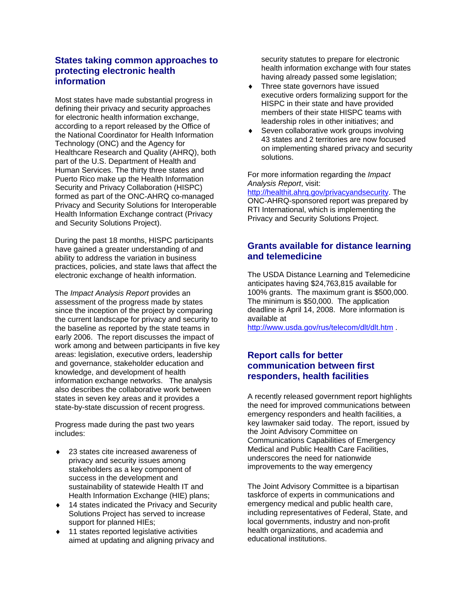### **States taking common approaches to protecting electronic health information**

Most states have made substantial progress in defining their privacy and security approaches for electronic health information exchange, according to a report released by the Office of the National Coordinator for Health Information Technology (ONC) and the Agency for Healthcare Research and Quality (AHRQ), both part of the U.S. Department of Health and Human Services. The thirty three states and Puerto Rico make up the Health Information Security and Privacy Collaboration (HISPC) formed as part of the ONC-AHRQ co-managed Privacy and Security Solutions for Interoperable Health Information Exchange contract (Privacy and Security Solutions Project).

During the past 18 months, HISPC participants have gained a greater understanding of and ability to address the variation in business practices, policies, and state laws that affect the electronic exchange of health information.

The *Impact Analysis Report* provides an assessment of the progress made by states since the inception of the project by comparing the current landscape for privacy and security to the baseline as reported by the state teams in early 2006. The report discusses the impact of work among and between participants in five key areas: legislation, executive orders, leadership and governance, stakeholder education and knowledge, and development of health information exchange networks. The analysis also describes the collaborative work between states in seven key areas and it provides a state-by-state discussion of recent progress.

Progress made during the past two years includes:

- 23 states cite increased awareness of privacy and security issues among stakeholders as a key component of success in the development and sustainability of statewide Health IT and Health Information Exchange (HIE) plans;
- ♦ 14 states indicated the Privacy and Security Solutions Project has served to increase support for planned HIEs;
- ♦ 11 states reported legislative activities aimed at updating and aligning privacy and

security statutes to prepare for electronic health information exchange with four states having already passed some legislation;

- ♦ Three state governors have issued executive orders formalizing support for the HISPC in their state and have provided members of their state HISPC teams with leadership roles in other initiatives; and
- Seven collaborative work groups involving 43 states and 2 territories are now focused on implementing shared privacy and security solutions.

For more information regarding the *Impact Analysis Report*, visit:

[http://healthit.ahrq.gov/privacyandsecurity.](http://healthit.ahrq.gov/privacyandsecurity) The ONC-AHRQ-sponsored report was prepared by RTI International, which is implementing the Privacy and Security Solutions Project.

### **Grants available for distance learning and telemedicine**

The USDA Distance Learning and Telemedicine anticipates having \$24,763,815 available for 100% grants. The maximum grant is \$500,000. The minimum is \$50,000. The application deadline is April 14, 2008. More information is available at

<http://www.usda.gov/rus/telecom/dlt/dlt.htm>.

### **Report calls for better communication between first responders, health facilities**

A recently released government report highlights the need for improved communications between emergency responders and health facilities, a key lawmaker said today. The report, issued by the Joint Advisory Committee on Communications Capabilities of Emergency Medical and Public Health Care Facilities, underscores the need for nationwide improvements to the way emergency

The Joint Advisory Committee is a bipartisan taskforce of experts in communications and emergency medical and public health care, including representatives of Federal, State, and local governments, industry and non-profit health organizations, and academia and educational institutions.